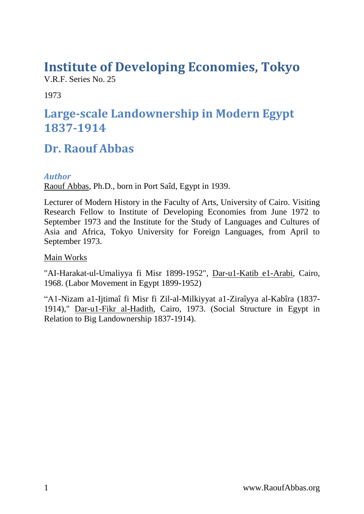# **Institute of Developing Economies, Tokyo**

V.R.F. Series No. 25

1973

## **Large-scale Landownership in Modern Egypt 1837-1914**

## **Dr. Raouf Abbas**

## <span id="page-0-0"></span>*Author*

Raouf Abbas, Ph.D., born in Port Saîd, Egypt in 1939.

Lecturer of Modern History in the Faculty of Arts, University of Cairo. Visiting Research Fellow to Institute of Developing Economies from June 1972 to September 1973 and the Institute for the Study of Languages and Cultures of Asia and Africa, Tokyo University for Foreign Languages, from April to September 1973.

### Main Works

"AI-Harakat-ul-Umaliyya fi Misr 1899-1952", Dar-u1-Katib e1-Arabi, Cairo, 1968. (Labor Movement in Egypt 1899-1952)

"A1-Nizam a1-Ijtimaî fi Misr fi Zil-al-Milkiyyat a1-Ziraîyya al-Kabîra (1837- 1914)," Dar-u1-Fikr al-Hadith, Cairo, 1973. (Social Structure in Egypt in Relation to Big Landownership 1837-1914).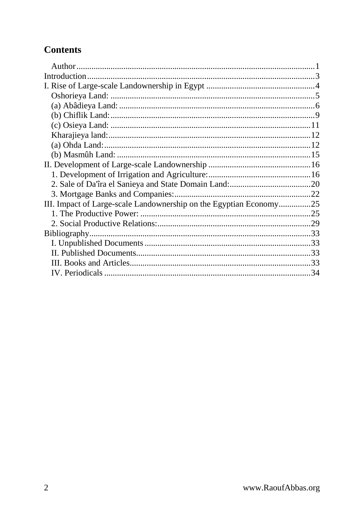## **Contents**

| III. Impact of Large-scale Landownership on the Egyptian Economy25 |  |
|--------------------------------------------------------------------|--|
|                                                                    |  |
|                                                                    |  |
|                                                                    |  |
|                                                                    |  |
|                                                                    |  |
|                                                                    |  |
|                                                                    |  |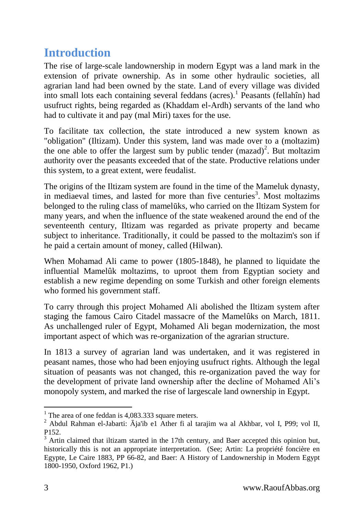## <span id="page-2-0"></span>**Introduction**

The rise of large-scale landownership in modern Egypt was a land mark in the extension of private ownership. As in some other hydraulic societies, all agrarian land had been owned by the state. Land of every village was divided into small lots each containing several feddans (acres).<sup>1</sup> Peasants (fellahîn) had usufruct rights, being regarded as (Khaddam el-Ardh) servants of the land who had to cultivate it and pay (mal Miri) taxes for the use.

To facilitate tax collection, the state introduced a new system known as "obligation" (Iltizam). Under this system, land was made over to a (moltazim) the one able to offer the largest sum by public tender  $(mazad)^2$ . But moltazim authority over the peasants exceeded that of the state. Productive relations under this system, to a great extent, were feudalist.

The origins of the Iltizam system are found in the time of the Mameluk dynasty, in mediaeval times, and lasted for more than five centuries<sup>3</sup>. Most moltazims belonged to the ruling class of mamelūks, who carried on the Iltizam System for many years, and when the influence of the state weakened around the end of the seventeenth century, Iltizam was regarded as private property and became subject to inheritance. Traditionally, it could be passed to the moltazim's son if he paid a certain amount of money, called (Hilwan).

When Mohamad Ali came to power (1805-1848), he planned to liquidate the influential Mamelûk moltazims, to uproot them from Egyptian society and establish a new regime depending on some Turkish and other foreign elements who formed his government staff.

To carry through this project Mohamed Ali abolished the Iltizam system after staging the famous Cairo Citadel massacre of the Mamelûks on March, 1811. As unchallenged ruler of Egypt, Mohamed Ali began modernization, the most important aspect of which was re-organization of the agrarian structure.

In 1813 a survey of agrarian land was undertaken, and it was registered in peasant names, those who had been enjoying usufruct rights. Although the legal situation of peasants was not changed, this re-organization paved the way for the development of private land ownership after the decline of Mohamed Ali's monopoly system, and marked the rise of largescale land ownership in Egypt.

<sup>&</sup>lt;sup>1</sup> The area of one feddan is 4,083.333 square meters.

<sup>2</sup> Abdul Rahman el-Jabarti: Āja'ib e1 Ather fi al tarajim wa al Akhbar, vol I, P99; vol II, P152.

 $3$  Artin claimed that iltizam started in the 17th century, and Baer accepted this opinion but, historically this is not an appropriate interpretation. (See; Artin: La propriété foncière en Egypte, Le Caire 1883, PP 66-82, and Baer: A History of Landownership in Modern Egypt 1800-1950, Oxford 1962, P1.)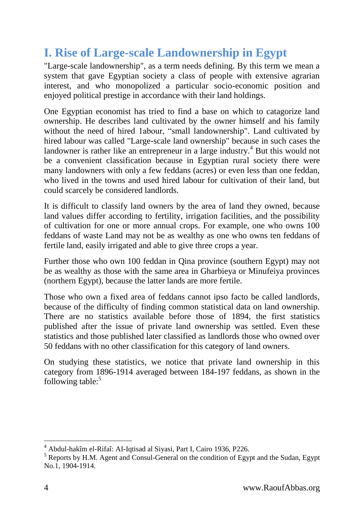## <span id="page-3-0"></span>**I. Rise of Large-scale Landownership in Egypt**

"Large-scale landownership", as a term needs defining. By this term we mean a system that gave Egyptian society a class of people with extensive agrarian interest, and who monopolized a particular socio-economic position and enjoyed political prestige in accordance with their land holdings.

One Egyptian economist has tried to find a base on which to catagorize land ownership. He describes land cultivated by the owner himself and his family without the need of hired 1abour, "small landownership". Land cultivated by hired labour was called "Large-scale land ownership" because in such cases the landowner is rather like an entrepreneur in a large industry.<sup>4</sup> But this would not be a convenient classification because in Egyptian rural society there were many landowners with only a few feddans (acres) or even less than one feddan, who lived in the towns and used hired labour for cultivation of their land, but could scarcely be considered landlords.

It is difficult to classify land owners by the area of land they owned, because land values differ according to fertility, irrigation facilities, and the possibility of cultivation for one or more annual crops. For example, one who owns 100 feddans of waste Land may not be as wealthy as one who owns ten feddans of fertile land, easily irrigated and able to give three crops a year.

Further those who own 100 feddan in Qina province (southern Egypt) may not be as wealthy as those with the same area in Gharbieya or Minufeiya provinces (northern Egypt), because the latter lands are more fertile.

Those who own a fixed area of feddans cannot ipso facto be called landlords, because of the difficulty of finding common statistical data on land ownership. There are no statistics available before those of 1894, the first statistics published after the issue of private land ownership was settled. Even these statistics and those published later classified as landlords those who owned over 50 feddans with no other classification for this category of land owners.

On studying these statistics, we notice that private land ownership in this category from 1896-1914 averaged between 184-197 feddans, as shown in the following table: $5$ 

<sup>4</sup> Abdul-hakîm el-Rifaî: AI-Iqtisad al Siyasi, Part I, Cairo 1936, P226.

<sup>5</sup> Reports by H.M. Agent and Consul-General on the condition of Egypt and the Sudan, Egypt No.1, 1904-1914.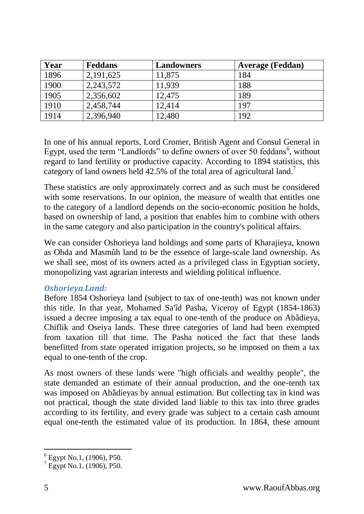| Year | <b>Feddans</b> | <b>Landowners</b> | <b>Average (Feddan)</b> |
|------|----------------|-------------------|-------------------------|
| 1896 | 2,191,625      | 11,875            | 184                     |
| 1900 | 2,243,572      | 11,939            | 188                     |
| 1905 | 2,356,602      | 12,475            | 189                     |
| 1910 | 2,458,744      | 12,414            | 197                     |
| 1914 | 2,396,940      | 12,480            | 192                     |

In one of his annual reports, Lord Cromer, British Agent and Consul General in Egypt, used the term "Landlords" to define owners of over 50 feddans<sup>6</sup>, without regard to land fertility or productive capacity. According to 1894 statistics, this category of land owners held 42.5% of the total area of agricultural land.<sup>7</sup>

These statistics are only approximately correct and as such must be considered with some reservations. In our opinion, the measure of wealth that entitles one to the category of a landlord depends on the socio-economic position he holds, based on ownership of land, a position that enables him to combine with others in the same category and also participation in the country's political affairs.

We can consider Oshorieya land holdings and some parts of Kharajieya, known as Ohda and Masmûh land to be the essence of large-scale land ownership. As we shall see, most of its owners acted as a privileged class in Egyptian society, monopolizing vast agrarian interests and wielding political influence.

#### <span id="page-4-0"></span>*Oshorieya Land:*

Before 1854 Oshorieya land (subject to tax of one-tenth) was not known under this title. In that year, Mohamed Sa'îd Pasha, Viceroy of Egypt (1854-1863) issued a decree imposing a tax equal to one-tenth of the produce on Abâdieya, Chiflik and Oseiya lands. These three categories of land had been exempted from taxation till that time. The Pasha noticed the fact that these lands benefitted from state operated irrigation projects, so he imposed on them a tax equal to one-tenth of the crop.

As most owners of these lands were "high officials and wealthy people", the state demanded an estimate of their annual production, and the one-tenth tax was imposed on Abâdieyas by annual estimation. But collecting tax in kind was not practical, though the state divided land liable to this tax into three grades according to its fertility, and every grade was subject to a certain cash amount equal one-tenth the estimated value of its production. In 1864, these amount

<sup>-</sup>6 Egypt No.1, (1906), P50.

 $^7$  Egypt No.1, (1906), P50.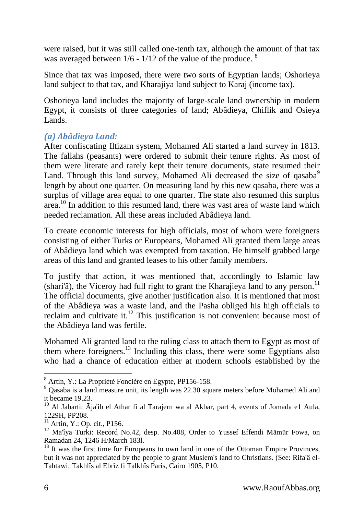were raised, but it was still called one-tenth tax, although the amount of that tax was averaged between 1/6 - 1/12 of the value of the produce. <sup>8</sup>

Since that tax was imposed, there were two sorts of Egyptian lands; Oshorieya land subject to that tax, and Kharajiya land subject to Karaj (income tax).

Oshorieya land includes the majority of large-scale land ownership in modern Egypt, it consists of three categories of land; Abâdieya, Chiflik and Osieya Lands.

## <span id="page-5-0"></span>*(a) Abâdieya Land:*

After confiscating Iltizam system, Mohamed Ali started a land survey in 1813. The fallahs (peasants) were ordered to submit their tenure rights. As most of them were literate and rarely kept their tenure documents, state resumed their Land. Through this land survey, Mohamed Ali decreased the size of qasaba<sup>9</sup> length by about one quarter. On measuring land by this new qasaba, there was a surplus of village area equal to one quarter. The state also resumed this surplus area. <sup>10</sup> In addition to this resumed land, there was vast area of waste land which needed reclamation. All these areas included Abâdieya land.

To create economic interests for high officials, most of whom were foreigners consisting of either Turks or Europeans, Mohamed Ali granted them large areas of Abâdieya land which was exempted from taxation. He himself grabbed large areas of this land and granted leases to his other family members.

To justify that action, it was mentioned that, accordingly to Islamic law  $(\text{shari'à})$ , the Viceroy had full right to grant the Kharajieya land to any person.<sup>11</sup> The official documents, give another justification also. It is mentioned that most of the Abâdieya was a waste land, and the Pasha obliged his high officials to reclaim and cultivate it.<sup>12</sup> This justification is not convenient because most of the Abâdieya land was fertile.

Mohamed Ali granted land to the ruling class to attach them to Egypt as most of them where foreigners.<sup>13</sup> Including this class, there were some Egyptians also who had a chance of education either at modern schools established by the

<sup>8</sup> Artin, Y.: La Propriété Foncière en Egypte, PP156-158.

<sup>9</sup> Qasaba is a land measure unit, its length was 22.30 square meters before Mohamed Ali and it became 19.23.

<sup>&</sup>lt;sup>10</sup> Al Jabarti: Āja'ib el Athar fi al Tarajern wa al Akbar, part 4, events of Jomada e1 Aula, 1229H, PP208.

 $11$  Artin, Y.: Op. cit., P156.

<sup>12</sup> Ma'îya Turki: Record No.42, desp. No.408, Order to Yussef Effendi Māmūr Fowa, on Ramadan 24, 1246 H/March 183l.

 $13$  It was the first time for Europeans to own land in one of the Ottoman Empire Provinces, but it was not appreciated by the people to grant Muslem's land to Christians. (See: Rifa'â el-Tahtawi: Takhlîs al Ebrîz fi Talkhîs Paris, Cairo 1905, P10.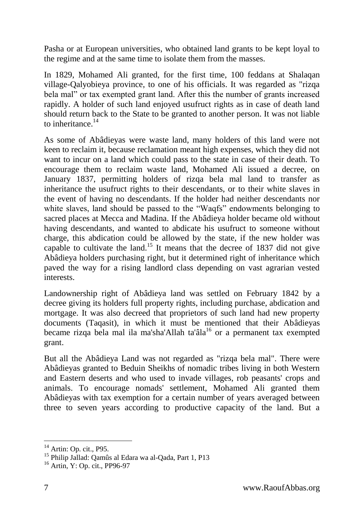Pasha or at European universities, who obtained land grants to be kept loyal to the regime and at the same time to isolate them from the masses.

In 1829, Mohamed Ali granted, for the first time, 100 feddans at Shalaqan village-Qalyobieya province, to one of his officials. It was regarded as "rizqa bela mal" or tax exempted grant land. After this the number of grants increased rapidly. A holder of such land enjoyed usufruct rights as in case of death land should return back to the State to be granted to another person. It was not liable to inheritance. $^{14}$ 

As some of Abâdieyas were waste land, many holders of this land were not keen to reclaim it, because reclamation meant high expenses, which they did not want to incur on a land which could pass to the state in case of their death. To encourage them to reclaim waste land, Mohamed Ali issued a decree, on January 1837, permitting holders of rizqa bela mal land to transfer as inheritance the usufruct rights to their descendants, or to their white slaves in the event of having no descendants. If the holder had neither descendants nor white slaves, land should be passed to the "Waqfs" endowments belonging to sacred places at Mecca and Madina. If the Abâdieya holder became old without having descendants, and wanted to abdicate his usufruct to someone without charge, this abdication could be allowed by the state, if the new holder was capable to cultivate the land.<sup>15</sup> It means that the decree of 1837 did not give Abâdieya holders purchasing right, but it determined right of inheritance which paved the way for a rising landlord class depending on vast agrarian vested interests.

Landownership right of Abâdieya land was settled on February 1842 by a decree giving its holders full property rights, including purchase, abdication and mortgage. It was also decreed that proprietors of such land had new property documents (Taqasit), in which it must be mentioned that their Abâdieyas became rizqa bela mal ila ma'sha'Allah ta'âla<sup>16</sup> or a permanent tax exempted grant.

But all the Abâdieya Land was not regarded as "rizqa bela mal". There were Abâdieyas granted to Beduin Sheikhs of nomadic tribes living in both Western and Eastern deserts and who used to invade villages, rob peasants' crops and animals. To encourage nomads' settlement, Mohamed Ali granted them Abâdieyas with tax exemption for a certain number of years averaged between three to seven years according to productive capacity of the land. But a

 $14$  Artin: Op. cit., P95.

<sup>15</sup> Philip Jallad: Qamûs al Edara wa al-Qada, Part 1, P13

<sup>16</sup> Artin, Y: Op. cit., PP96-97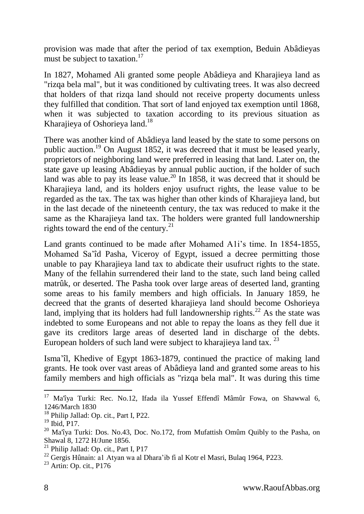provision was made that after the period of tax exemption, Beduin Abâdieyas must be subject to taxation. $17$ 

In 1827, Mohamed Ali granted some people Abâdieya and Kharajieya land as "rizqa bela mal", but it was conditioned by cultivating trees. It was also decreed that holders of that rizqa land should not receive property documents unless they fulfilled that condition. That sort of land enjoyed tax exemption until 1868, when it was subjected to taxation according to its previous situation as Kharajieya of Oshorieya land.<sup>18</sup>

There was another kind of Abâdieya land leased by the state to some persons on public auction.<sup>19</sup> On August 1852, it was decreed that it must be leased yearly, proprietors of neighboring land were preferred in leasing that land. Later on, the state gave up leasing Abâdieyas by annual public auction, if the holder of such land was able to pay its lease value.<sup>20</sup> In 1858, it was decreed that it should be Kharajieya land, and its holders enjoy usufruct rights, the lease value to be regarded as the tax. The tax was higher than other kinds of Kharajieya land, but in the last decade of the nineteenth century, the tax was reduced to make it the same as the Kharajieya land tax. The holders were granted full landownership rights toward the end of the century.<sup>21</sup>

Land grants continued to be made after Mohamed A1i's time. In 1854-1855, Mohamed Sa'îd Pasha, Viceroy of Egypt, issued a decree permitting those unable to pay Kharajieya land tax to abdicate their usufruct rights to the state. Many of the fellahin surrendered their land to the state, such land being called matrûk, or deserted. The Pasha took over large areas of deserted land, granting some areas to his family members and high officials. In January 1859, he decreed that the grants of deserted kharajieya land should become Oshorieya land, implying that its holders had full landownership rights.<sup>22</sup> As the state was indebted to some Europeans and not able to repay the loans as they fell due it gave its creditors large areas of deserted land in discharge of the debts. European holders of such land were subject to kharajieya land tax.  $^{23}$ 

Isma'îl, Khedive of Egypt 1863-1879, continued the practice of making land grants. He took over vast areas of Abâdieya land and granted some areas to his family members and high officials as "rizqa bela mal". It was during this time

<sup>17</sup> Ma'îya Turki: Rec. No.12, Ifada ila Yussef Effendî Mâmûr Fowa, on Shawwal 6, 1246/March 1830

<sup>&</sup>lt;sup>18</sup> Philip Jallad: Op. cit., Part I, P22.

<sup>19</sup> Ibid, P17.

<sup>20</sup> Ma'îya Turki: Dos. No.43, Doc. No.172, from Mufattish Omûm Quibly to the Pasha, on Shawal 8, 1272 H/June 1856.

<sup>&</sup>lt;sup>21</sup> Philip Jallad: Op. cit., Part I, P17

<sup>22</sup> Gergis Hûnain: a1 Atyan wa al Dhara'ib fi al Kotr el Masri, Bulaq 1964, P223.

 $23$  Artin: Op. cit., P176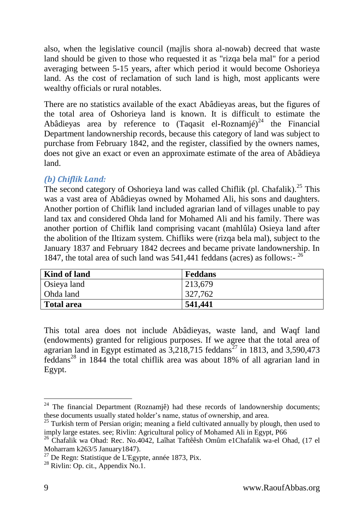also, when the legislative council (majlis shora al-nowab) decreed that waste land should be given to those who requested it as "rizqa bela mal" for a period averaging between 5-15 years, after which period it would become Oshorieya land. As the cost of reclamation of such land is high, most applicants were wealthy officials or rural notables.

There are no statistics available of the exact Abâdieyas areas, but the figures of the total area of Oshorieya land is known. It is difficult to estimate the Abâdieyas area by reference to  $(Taqasit$  el-Roznamjé)<sup>24</sup> the Financial Department landownership records, because this category of land was subject to purchase from February 1842, and the register, classified by the owners names, does not give an exact or even an approximate estimate of the area of Abâdieya land.

## <span id="page-8-0"></span>*(b) Chiflik Land:*

The second category of Oshorieya land was called Chiflik (pl. Chafalik).<sup>25</sup> This was a vast area of Abâdieyas owned by Mohamed Ali, his sons and daughters. Another portion of Chiflik land included agrarian land of villages unable to pay land tax and considered Ohda land for Mohamed Ali and his family. There was another portion of Chiflik land comprising vacant (mahlûla) Osieya land after the abolition of the Iltizam system. Chifliks were (rizqa bela mal), subject to the January 1837 and February 1842 decrees and became private landownership. In 1847, the total area of such land was 541,441 feddans (acres) as follows:- 26

| Kind of land      | <b>Feddans</b> |
|-------------------|----------------|
| Osieya land       | 213,679        |
| Ohda land         | 327,762        |
| <b>Total area</b> | 541,441        |

This total area does not include Abâdieyas, waste land, and Waqf land (endowments) granted for religious purposes. If we agree that the total area of agrarian land in Egypt estimated as  $3,218,715$  feddans<sup>27</sup> in 1813, and 3,590,473 feddans<sup>28</sup> in 1844 the total chiflik area was about 18% of all agrarian land in Egypt.

 $24$  The financial Department (Roznamjê) had these records of landownership documents; these documents usually stated holder's name, status of ownership, and area.

 $25$  Turkish term of Persian origin; meaning a field cultivated annually by plough, then used to imply large estates. see; Rivlin: Agricultural policy of Mohamed Ali in Egypt, P66

<sup>26</sup> Chafalik wa Ohad: Rec. No.4042, Laîhat Taftêêsh Omûm e1Chafalik wa-el Ohad, (17 el Moharram k263/5 January1847).

 $27$  De Regn: Statistique de L'Egypte, année 1873, Pix.

 $28$  Rivlin: Op. cit., Appendix No.1.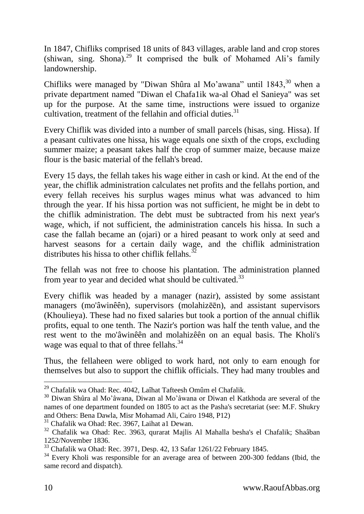In 1847, Chifliks comprised 18 units of 843 villages, arable land and crop stores (shiwan, sing. Shona).<sup>29</sup> It comprised the bulk of Mohamed Ali's family landownership.

Chifliks were managed by "Diwan Shûra al Mo'awana" until  $1843$ , when a private department named "Diwan el Chafa1ik wa-al Ohad el Sanieya" was set up for the purpose. At the same time, instructions were issued to organize cultivation, treatment of the fellahin and official duties.<sup>31</sup>

Every Chiflik was divided into a number of small parcels (hisas, sing. Hissa). If a peasant cultivates one hissa, his wage equals one sixth of the crops, excluding summer maize; a peasant takes half the crop of summer maize, because maize flour is the basic material of the fellah's bread.

Every 15 days, the fellah takes his wage either in cash or kind. At the end of the year, the chiflik administration calculates net profits and the fellahs portion, and every fellah receives his surplus wages minus what was advanced to him through the year. If his hissa portion was not sufficient, he might be in debt to the chiflik administration. The debt must be subtracted from his next year's wage, which, if not sufficient, the administration cancels his hissa. In such a case the fallah became an (ojari) or a hired peasant to work only at seed and harvest seasons for a certain daily wage, and the chiflik administration distributes his hissa to other chiflik fellahs. $\frac{3}{2}$ 

The fellah was not free to choose his plantation. The administration planned from year to year and decided what should be cultivated.<sup>33</sup>

Every chiflik was headed by a manager (nazir), assisted by some assistant managers (mo'âwinêên), supervisors (molahizēēn), and assistant supervisors (Khoulieya). These had no fixed salaries but took a portion of the annual chiflik profits, equal to one tenth. The Nazir's portion was half the tenth value, and the rest went to the mo'âwinêên and molahizêên on an equal basis. The Kholi's wage was equal to that of three fellahs.<sup>34</sup>

Thus, the fellaheen were obliged to work hard, not only to earn enough for themselves but also to support the chiflik officials. They had many troubles and

<sup>31</sup> Chafalik wa Ohad: Rec. 3967, Laihat a1 Dewan.

<sup>&</sup>lt;sup>29</sup> Chafalik wa Ohad: Rec. 4042, Laîhat Tafteesh Omûm el Chafalik.

<sup>30</sup> Diwan Shûra al Mo'âwana, Diwan al Mo'âwana or Diwan el Katkhoda are several of the names of one department founded on 1805 to act as the Pasha's secretariat (see: M.F. Shukry and Others: Bena Dawla, Misr Mohamad Ali, Cairo 1948, P12)

<sup>32</sup> Chafalik wa Ohad: Rec. 3963, qurarat Majlis Al Mahalla besha's el Chafalik; Shaâban 1252/November 1836.

<sup>33</sup> Chafalik wa Ohad: Rec. 3971, Desp. 42, 13 Safar 1261/22 February 1845.

<sup>&</sup>lt;sup>34</sup> Every Kholi was responsible for an average area of between 200-300 feddans (Ibid, the same record and dispatch).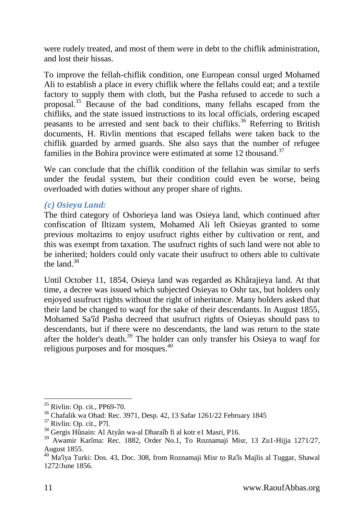were rudely treated, and most of them were in debt to the chiflik administration, and lost their hissas.

To improve the fellah-chiflik condition, one European consul urged Mohamed Ali to establish a place in every chiflik where the fellahs could eat; and a textile factory to supply them with cloth, but the Pasha refused to accede to such a proposal.<sup>35</sup> Because of the bad conditions, many fellahs escaped from the chifliks, and the state issued instructions to its local officials, ordering escaped peasants to be arrested and sent back to their chifliks.<sup>36</sup> Referring to British documents, H. Rivlin mentions that escaped fellahs were taken back to the chiflik guarded by armed guards. She also says that the number of refugee families in the Bohira province were estimated at some 12 thousand.<sup>37</sup>

We can conclude that the chiflik condition of the fellahin was similar to serfs under the feudal system, but their condition could even be worse, being overloaded with duties without any proper share of rights.

## <span id="page-10-0"></span>*(c) Osieya Land:*

The third category of Oshorieya land was Osieya land, which continued after confiscation of Iltizam system, Mohamed Ali left Osieyas granted to some previous moltazims to enjoy usufruct rights either by cultivation or rent, and this was exempt from taxation. The usufruct rights of such land were not able to be inherited; holders could only vacate their usufruct to others able to cultivate the land. $38$ 

Until October 11, 1854, Osieya land was regarded as Khârajieya land. At that time, a decree was issued which subjected Osieyas to Oshr tax, but holders only enjoyed usufruct rights without the right of inheritance. Many holders asked that their land be changed to waqf for the sake of their descendants. In August 1855, Mohamed Sa'îd Pasha decreed that usufruct rights of Osieyas should pass to descendants, but if there were no descendants, the land was return to the state after the holder's death.<sup>39</sup> The holder can only transfer his Osieya to waqf for religious purposes and for mosques.<sup>40</sup>

 $\overline{a}$ <sup>35</sup> Rivlin: Op. cit., PP69-70.

<sup>36</sup> Chafalik wa Ohad: Rec. 3971, Desp. 42, 13 Safar 1261/22 February 1845

 $37$  Rivlin: Op. cit., P7l.

<sup>38</sup> Gergis Hûnain: Al Atyân wa-al Dharaîb fi al kotr e1 Masri, P16.

<sup>39</sup> Awamir Karîma: Rec. 1882, Order No.1, To Roznamaji Misr, 13 Zu1-Hijja 1271/27, August 1855.

<sup>40</sup> Ma'îya Turki: Dos. 43, Doc. 308, from Roznamaji Misr to Ra'îs Majlis al Tuggar, Shawal 1272/June 1856.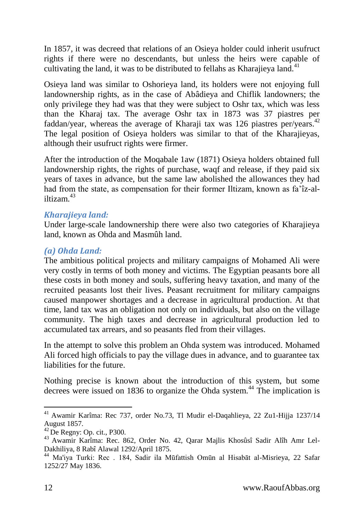In 1857, it was decreed that relations of an Osieya holder could inherit usufruct rights if there were no descendants, but unless the heirs were capable of cultivating the land, it was to be distributed to fellahs as Kharajieya land.<sup>41</sup>

Osieya land was similar to Oshorieya land, its holders were not enjoying full landownership rights, as in the case of Abâdieya and Chiflik landowners; the only privilege they had was that they were subject to Oshr tax, which was less than the Kharaj tax. The average Oshr tax in 1873 was 37 piastres per faddan/year, whereas the average of Kharaji tax was 126 piastres per/years.<sup>42</sup> The legal position of Osieya holders was similar to that of the Kharajieyas, although their usufruct rights were firmer.

After the introduction of the Moqabale 1aw (1871) Osieya holders obtained full landownership rights, the rights of purchase, waqf and release, if they paid six years of taxes in advance, but the same law abolished the allowances they had had from the state, as compensation for their former Iltizam, known as fa'îz-aliltizam $43$ 

### <span id="page-11-0"></span>*Kharajieya land:*

Under large-scale landownership there were also two categories of Kharajieya land, known as Ohda and Masmûh land.

### <span id="page-11-1"></span>*(a) Ohda Land:*

The ambitious political projects and military campaigns of Mohamed Ali were very costly in terms of both money and victims. The Egyptian peasants bore all these costs in both money and souls, suffering heavy taxation, and many of the recruited peasants lost their lives. Peasant recruitment for military campaigns caused manpower shortages and a decrease in agricultural production. At that time, land tax was an obligation not only on individuals, but also on the village community. The high taxes and decrease in agricultural production led to accumulated tax arrears, and so peasants fled from their villages.

In the attempt to solve this problem an Ohda system was introduced. Mohamed Ali forced high officials to pay the village dues in advance, and to guarantee tax liabilities for the future.

Nothing precise is known about the introduction of this system, but some decrees were issued on 1836 to organize the Ohda system.<sup>44</sup> The implication is

<sup>41</sup> Awamir Karîma: Rec 737, order No.73, Tl Mudir el-Daqahlieya, 22 Zu1-Hijja 1237/14 August 1857.

 $42$  De Regny: Op. cit., P300.

<sup>43</sup> Awamir Karîma: Rec. 862, Order No. 42, Qarar Majlis Khosûsî Sadir Alîh Amr Lel-Dakhiliya, 8 Rabî Alawal 1292/April 1875.

<sup>44</sup> Ma'iya Turki: Rec . 184, Sadir ila Mūfattish Omūn al Hisabāt al-Misrieya, 22 Safar 1252/27 May 1836.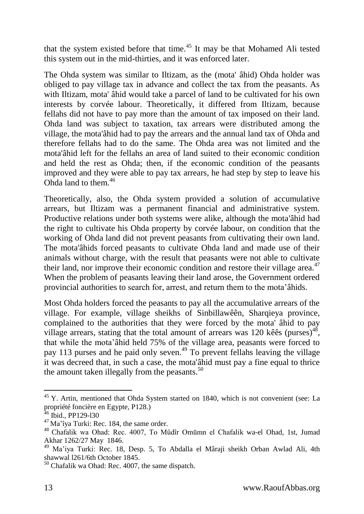that the system existed before that time.<sup>45</sup> It may be that Mohamed Ali tested this system out in the mid-thirties, and it was enforced later.

The Ohda system was similar to Iltizam, as the (mota' âhid) Ohda holder was obliged to pay village tax in advance and collect the tax from the peasants. As with Iltizam, mota' âhid would take a parcel of land to be cultivated for his own interests by corvée labour. Theoretically, it differed from Iltizam, because fellahs did not have to pay more than the amount of tax imposed on their land. Ohda land was subject to taxation, tax arrears were distributed among the village, the mota'âhid had to pay the arrears and the annual land tax of Ohda and therefore fellahs had to do the same. The Ohda area was not limited and the mota'âhid left for the fellahs an area of land suited to their economic condition and held the rest as Ohda; then, if the economic condition of the peasants improved and they were able to pay tax arrears, he had step by step to leave his Ohda land to them.<sup>46</sup>

Theoretically, also, the Ohda system provided a solution of accumulative arrears, but Iltizam was a permanent financial and administrative system. Productive relations under both systems were alike, although the mota'âhid had the right to cultivate his Ohda property by corvée labour, on condition that the working of Ohda land did not prevent peasants from cultivating their own land. The mota'âhids forced peasants to cultivate Ohda land and made use of their animals without charge, with the result that peasants were not able to cultivate their land, nor improve their economic condition and restore their village area.<sup>47</sup> When the problem of peasants leaving their land arose, the Government ordered provincial authorities to search for, arrest, and return them to the mota'âhids.

Most Ohda holders forced the peasants to pay all the accumulative arrears of the village. For example, village sheikhs of Sinbillawêên, Sharqieya province, complained to the authorities that they were forced by the mota' âhid to pay village arrears, stating that the total amount of arrears was 120 kêes (purses)<sup>48</sup>, that while the mota'âhid held 75% of the village area, peasants were forced to pay 113 purses and he paid only seven.<sup>49</sup> To prevent fellahs leaving the village it was decreed that, in such a case, the mota'âhid must pay a fine equal to thrice the amount taken illegally from the peasants. $50$ 

 $45$  Y. Artin, mentioned that Ohda System started on 1840, which is not convenient (see: La propriété foncière en Egypte, P128.)

 $^{46}$  Ibid., PP129-130

<sup>47</sup> Ma'îya Turki: Rec. 184, the same order.

<sup>48</sup> Chafalik wa Ohad: Rec. 4007, To Mûdîr Omūmn el Chafalik wa-el Ohad, 1st, Jumad Akhar 1262/27 May 1846.

<sup>49</sup> Ma'iya Turki: Rec. 18, Desp. 5, To Abdalla el Mâraji sheikh Orban Awlad Ali, 4th shawwal l261/6th October 1845.

 $50$  Chafalik wa Ohad: Rec. 4007, the same dispatch.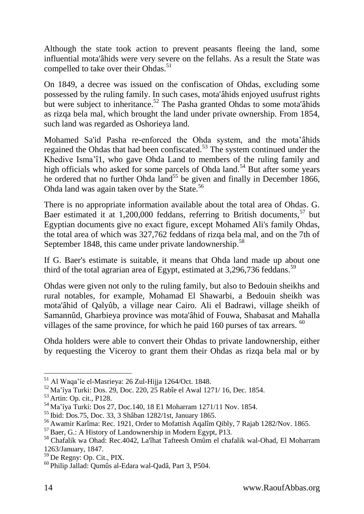Although the state took action to prevent peasants fleeing the land, some influential mota'âhids were very severe on the fellahs. As a result the State was compelled to take over their Ohdas.<sup>51</sup>

On 1849, a decree was issued on the confiscation of Ohdas, excluding some possessed by the ruling family. In such cases, mota'âhids enjoyed usufrust rights but were subject to inheritance.<sup>52</sup> The Pasha granted Ohdas to some mota'anids as rizqa bela mal, which brought the land under private ownership. From 1854, such land was regarded as Oshorieya land.

Mohamed Sa'id Pasha re-enforced the Ohda system, and the mota'âhids regained the Ohdas that had been confiscated.<sup>53</sup> The system continued under the Khedive Isma'î1, who gave Ohda Land to members of the ruling family and high officials who asked for some parcels of Ohda land.<sup>54</sup> But after some years he ordered that no further Ohda land<sup>55</sup> be given and finally in December 1866, Ohda land was again taken over by the State.<sup>56</sup>

There is no appropriate information available about the total area of Ohdas. G. Baer estimated it at  $1,200,000$  feddans, referring to British documents,<sup>57</sup> but Egyptian documents give no exact figure, except Mohamed Ali's family Ohdas, the total area of which was 327,762 feddans of rizqa bela mal, and on the 7th of September 1848, this came under private landownership.<sup>58</sup>

If G. Baer's estimate is suitable, it means that Ohda land made up about one third of the total agrarian area of Egypt, estimated at 3,296,736 feddans.<sup>59</sup>

Ohdas were given not only to the ruling family, but also to Bedouin sheikhs and rural notables, for example, Mohamad El Shawarbi, a Bedouin sheikh was mota'âhid of Qalyûb, a village near Cairo. Ali el Badrawi, village sheikh of Samannûd, Gharbieya province was mota'âhid of Fouwa, Shabasat and Mahalla villages of the same province, for which he paid 160 purses of tax arrears. <sup>60</sup>

Ohda holders were able to convert their Ohdas to private landownership, either by requesting the Viceroy to grant them their Ohdas as rizqa bela mal or by

<sup>51</sup> Al Waqa'îe el-Masrieya: 26 Zul-Hijja 1264/Oct. 1848.

 $52$  Ma'îva Turki: Dos. 29, Doc. 220,  $25$  Rabîe el Awal 1271/ 16, Dec. 1854.

<sup>&</sup>lt;sup>53</sup> Artin: Op. cit., P128.

<sup>54</sup> Ma'îya Turki: Dos 27, Doc.140, 18 E1 Moharram 1271/11 Nov. 1854.

<sup>55</sup> Ibid: Dos.75, Doc. 33, 3 Shâban 1282/1st, January 1865.

<sup>56</sup> Awamir Karîma: Rec. 1921, Order to Mofattish Aqalîm Qibly, 7 Rajab 1282/Nov. 1865.

<sup>57</sup> Baer, G.: A History of Landownership in Modern Egypt, P13.

<sup>58</sup> Chafalik wa Ohad: Rec.4042, La'îhat Tafteesh Omûm el chafalik wal-Ohad, El Moharram 1263/January, 1847.

<sup>59</sup> De Regny: Op. Cit., PIX.

<sup>60</sup> Philip Jallad: Qumûs al-Edara wal-Qadâ, Part 3, P504.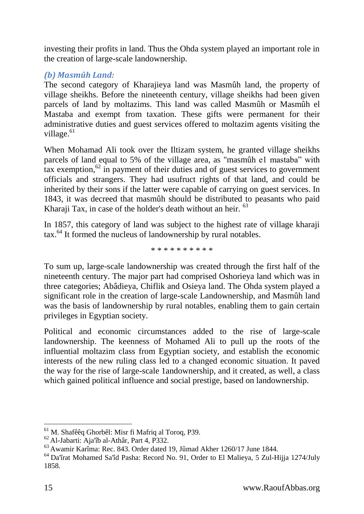investing their profits in land. Thus the Ohda system played an important role in the creation of large-scale landownership.

## <span id="page-14-0"></span>*(b) Masmûh Land:*

The second category of Kharajieya land was Masmûh land, the property of village sheikhs. Before the nineteenth century, village sheikhs had been given parcels of land by moltazims. This land was called Masmûh or Masmûh el Mastaba and exempt from taxation. These gifts were permanent for their administrative duties and guest services offered to moltazim agents visiting the village.<sup>61</sup>

When Mohamad Ali took over the Iltizam system, he granted village sheikhs parcels of land equal to 5% of the village area, as "masmûh e1 mastaba" with tax exemption, $62 \text{ in payment of their duties and of guest services to government}$ officials and strangers. They had usufruct rights of that land, and could be inherited by their sons if the latter were capable of carrying on guest services. In 1843, it was decreed that masmûh should be distributed to peasants who paid Kharaji Tax, in case of the holder's death without an heir. <sup>63</sup>

In 1857, this category of land was subject to the highest rate of village kharaji tax.<sup>64</sup> It formed the nucleus of landownership by rural notables.

#### \* \* \* \* \* \* \* \* \* \*

To sum up, large-scale landownership was created through the first half of the nineteenth century. The major part had comprised Oshorieya land which was in three categories; Abâdieya, Chiflik and Osieya land. The Ohda system played a significant role in the creation of large-scale Landownership, and Masmûh land was the basis of landownership by rural notables, enabling them to gain certain privileges in Egyptian society.

Political and economic circumstances added to the rise of large-scale landownership. The keenness of Mohamed Ali to pull up the roots of the influential moltazim class from Egyptian society, and establish the economic interests of the new ruling class led to a changed economic situation. It paved the way for the rise of large-scale 1andownership, and it created, as well, a class which gained political influence and social prestige, based on landownership.

<sup>-</sup><sup>61</sup> M. Shafêêq Ghorbêl: Misr fi Mafriq al Toroq, P39.

<sup>62</sup> Al-Jabarti: Aja'îb al-Athâr, Part 4, P332.

<sup>63</sup> Awamir Karîma: Rec. 843. Order dated 19, Jûmad Akher 1260/17 June 1844.

<sup>64</sup> Da'îrat Mohamed Sa'îd Pasha: Record No. 91, Order to El Malieya, 5 Zul-Hijja 1274/July 1858.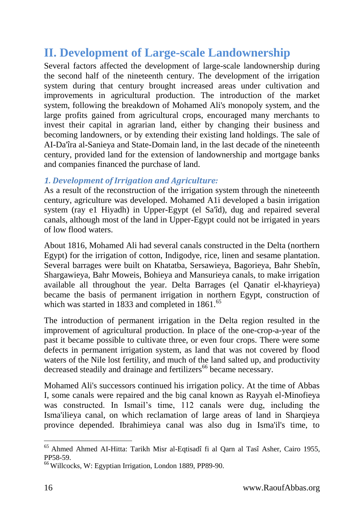## <span id="page-15-0"></span>**II. Development of Large-scale Landownership**

Several factors affected the development of large-scale landownership during the second half of the nineteenth century. The development of the irrigation system during that century brought increased areas under cultivation and improvements in agricultural production. The introduction of the market system, following the breakdown of Mohamed Ali's monopoly system, and the large profits gained from agricultural crops, encouraged many merchants to invest their capital in agrarian land, either by changing their business and becoming landowners, or by extending their existing land holdings. The sale of AI-Da'îra al-Sanieya and State-Domain land, in the last decade of the nineteenth century, provided land for the extension of landownership and mortgage banks and companies financed the purchase of land.

## <span id="page-15-1"></span>*1. Development of Irrigation and Agriculture:*

As a result of the reconstruction of the irrigation system through the nineteenth century, agriculture was developed. Mohamed A1i developed a basin irrigation system (ray e1 Hiyadh) in Upper-Egypt (el Sa'îd), dug and repaired several canals, although most of the land in Upper-Egypt could not be irrigated in years of low flood waters.

About 1816, Mohamed Ali had several canals constructed in the Delta (northern Egypt) for the irrigation of cotton, Indigodye, rice, linen and sesame plantation. Several barrages were built on Khatatba, Sersawieya, Bagorieya, Bahr Shebîn, Shargawieya, Bahr Moweis, Bohieya and Mansurieya canals, to make irrigation available all throughout the year. Delta Barrages (el Qanatir el-khayrieya) became the basis of permanent irrigation in northern Egypt, construction of which was started in  $1833$  and completed in  $1861$ .<sup>65</sup>

The introduction of permanent irrigation in the Delta region resulted in the improvement of agricultural production. In place of the one-crop-a-year of the past it became possible to cultivate three, or even four crops. There were some defects in permanent irrigation system, as land that was not covered by flood waters of the Nile lost fertility, and much of the land salted up, and productivity decreased steadily and drainage and fertilizers<sup>66</sup> became necessary.

Mohamed Ali's successors continued his irrigation policy. At the time of Abbas I, some canals were repaired and the big canal known as Rayyah el-Minofieya was constructed. In Ismail's time, 112 canals were dug, including the Isma'ilieya canal, on which reclamation of large areas of land in Sharqieya province depended. Ibrahimieya canal was also dug in Isma'il's time, to

 $\overline{a}$ <sup>65</sup> Ahmed Ahmed AI-Hitta: Tarikh Misr al-Eqtisadî fi al Qarn al Tasî Asher, Cairo 1955, PP58-59.

<sup>66</sup> Willcocks, W: Egyptian Irrigation, London 1889, PP89-90.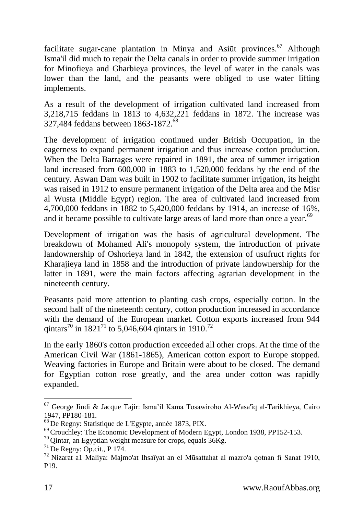facilitate sugar-cane plantation in Minya and Asiūt provinces.<sup>67</sup> Although Isma'il did much to repair the Delta canals in order to provide summer irrigation for Minofieya and Gharbieya provinces, the level of water in the canals was lower than the land, and the peasants were obliged to use water lifting implements.

As a result of the development of irrigation cultivated land increased from 3,218,715 feddans in 1813 to 4,632,221 feddans in 1872. The increase was 327,484 feddans between 1863-1872.<sup>68</sup>

The development of irrigation continued under British Occupation, in the eagerness to expand permanent irrigation and thus increase cotton production. When the Delta Barrages were repaired in 1891, the area of summer irrigation land increased from 600,000 in 1883 to 1,520,000 feddans by the end of the century. Aswan Dam was built in 1902 to facilitate summer irrigation, its height was raised in 1912 to ensure permanent irrigation of the Delta area and the Misr al Wusta (Middle Egypt) region. The area of cultivated land increased from 4,700,000 feddans in 1882 to 5,420,000 feddans by 1914, an increase of 16%, and it became possible to cultivate large areas of land more than once a year.<sup>69</sup>

Development of irrigation was the basis of agricultural development. The breakdown of Mohamed Ali's monopoly system, the introduction of private landownership of Oshorieya land in 1842, the extension of usufruct rights for Kharajieya land in 1858 and the introduction of private landownership for the latter in 1891, were the main factors affecting agrarian development in the nineteenth century.

Peasants paid more attention to planting cash crops, especially cotton. In the second half of the nineteenth century, cotton production increased in accordance with the demand of the European market. Cotton exports increased from 944 qintars<sup>70</sup> in 1821<sup>71</sup> to 5,046,604 qintars in 1910.<sup>72</sup>

In the early 1860's cotton production exceeded all other crops. At the time of the American Civil War (1861-1865), American cotton export to Europe stopped. Weaving factories in Europe and Britain were about to be closed. The demand for Egyptian cotton rose greatly, and the area under cotton was rapidly expanded.

 $\overline{a}$ <sup>67</sup> George Jindi & Jacque Tajir: Isma'il Kama Tosawiroho Al-Wasa'îq al-Tarikhieya, Cairo 1947, PP180-181.

<sup>68</sup> De Regny: Statistique de L'Egypte, année 1873, PIX.

<sup>&</sup>lt;sup>69</sup> Crouchley: The Economic Development of Modern Egypt, London 1938, PP152-153.

 $70$  Qintar, an Egyptian weight measure for crops, equals  $36Kg$ .

<sup>71</sup> De Regny: Op.cit., P 174.

<sup>72</sup> Nizarat a1 Maliya: Majmo'at Ihsaîyat an el Mūsattahat al mazro'a qotnan fi Sanat 1910, P19.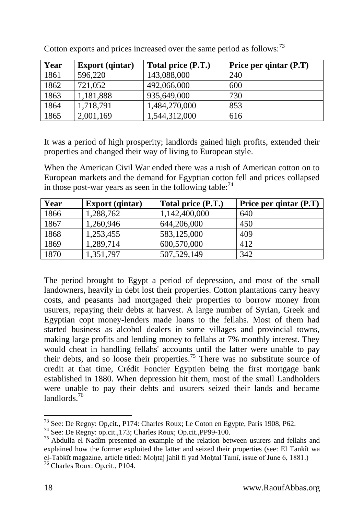| Year | <b>Export</b> (qintar) | Total price (P.T.) | Price per qintar (P.T) |
|------|------------------------|--------------------|------------------------|
| 1861 | 596,220                | 143,088,000        | 240                    |
| 1862 | 721,052                | 492,066,000        | 600                    |
| 1863 | 1,181,888              | 935,649,000        | 730                    |
| 1864 | 1,718,791              | 1,484,270,000      | 853                    |
| 1865 | 2,001,169              | 1,544,312,000      | 616                    |

Cotton exports and prices increased over the same period as follows:<sup>73</sup>

It was a period of high prosperity; landlords gained high profits, extended their properties and changed their way of living to European style.

When the American Civil War ended there was a rush of American cotton on to European markets and the demand for Egyptian cotton fell and prices collapsed in those post-war years as seen in the following table:  $74$ 

| Year | <b>Export</b> (qintar) | Total price (P.T.) | Price per qintar (P.T) |
|------|------------------------|--------------------|------------------------|
| 1866 | 1,288,762              | 1,142,400,000      | 640                    |
| 1867 | 1,260,946              | 644,206,000        | 450                    |
| 1868 | 1,253,455              | 583,125,000        | 409                    |
| 1869 | 1,289,714              | 600,570,000        | 412                    |
| 1870 | 1,351,797              | 507,529,149        | 342                    |

The period brought to Egypt a period of depression, and most of the small landowners, heavily in debt lost their properties. Cotton plantations carry heavy costs, and peasants had mortgaged their properties to borrow money from usurers, repaying their debts at harvest. A large number of Syrian, Greek and Egyptian copt money-lenders made loans to the fellahs. Most of them had started business as alcohol dealers in some villages and provincial towns, making large profits and lending money to fellahs at 7% monthly interest. They would cheat in handling fellahs' accounts until the latter were unable to pay their debts, and so loose their properties.<sup>75</sup> There was no substitute source of credit at that time, Crédit Foncier Egyptien being the first mortgage bank established in 1880. When depression hit them, most of the small Landholders were unable to pay their debts and usurers seized their lands and became landlords<sup>76</sup>

<sup>73</sup> See: De Regny: Op,cit., P174: Charles Roux; Le Coton en Egypte, Paris 1908, P62.

<sup>74</sup> See: De Regny: op.cit.,173; Charles Roux; Op.cit.,PP99-100.

 $^{75}$  Abdulla el Nadîm presented an example of the relation between usurers and fellahs and explained how the former exploited the latter and seized their properties (see: El Tankît wa el-Tabkît magazine, article titled: Mohtaj jahil fi yad Mohtal Tamî, issue of June 6, 1881.)

<sup>76</sup> Charles Roux: Op.cit., P104.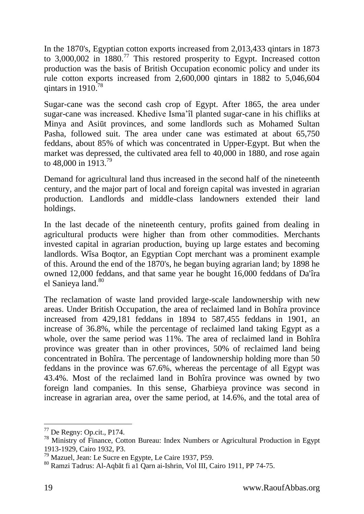In the 1870's, Egyptian cotton exports increased from 2,013,433 qintars in 1873 to 3,000,002 in 1880.<sup>77</sup> This restored prosperity to Egypt. Increased cotton production was the basis of British Occupation economic policy and under its rule cotton exports increased from 2,600,000 qintars in 1882 to 5,046,604 qintars in  $1910^{78}$ 

Sugar-cane was the second cash crop of Egypt. After 1865, the area under sugar-cane was increased. Khedive Isma'îl planted sugar-cane in his chifliks at Minya and Asiūt provinces, and some landlords such as Mohamed Sultan Pasha, followed suit. The area under cane was estimated at about 65,750 feddans, about 85% of which was concentrated in Upper-Egypt. But when the market was depressed, the cultivated area fell to 40,000 in 1880, and rose again to 48,000 in 1913.<sup>79</sup>

Demand for agricultural land thus increased in the second half of the nineteenth century, and the major part of local and foreign capital was invested in agrarian production. Landlords and middle-class landowners extended their land holdings.

In the last decade of the nineteenth century, profits gained from dealing in agricultural products were higher than from other commodities. Merchants invested capital in agrarian production, buying up large estates and becoming landlords. Wîsa Boqtor, an Egyptian Copt merchant was a prominent example of this. Around the end of the 1870's, he began buying agrarian land; by 1898 he owned 12,000 feddans, and that same year he bought 16,000 feddans of Da'îra el Sanieya land.<sup>80</sup>

The reclamation of waste land provided large-scale landownership with new areas. Under British Occupation, the area of reclaimed land in Bohîra province increased from 429,181 feddans in 1894 to 587,455 feddans in 1901, an increase of 36.8%, while the percentage of reclaimed land taking Egypt as a whole, over the same period was 11%. The area of reclaimed land in Bohîra province was greater than in other provinces, 50% of reclaimed land being concentrated in Bohîra. The percentage of landownership holding more than 50 feddans in the province was 67.6%, whereas the percentage of all Egypt was 43.4%. Most of the reclaimed land in Bohîra province was owned by two foreign land companies. In this sense, Gharbieya province was second in increase in agrarian area, over the same period, at 14.6%, and the total area of

<sup>77</sup> De Regny: Op.cit., P174.

<sup>&</sup>lt;sup>78</sup> Ministry of Finance, Cotton Bureau: Index Numbers or Agricultural Production in Egypt 1913-1929, Cairo 1932, P3.

<sup>79</sup> Mazuel, Jean: Le Sucre en Egypte, Le Caire 1937, P59.

<sup>80</sup> Ramzi Tadrus: Al-Aqbāt fi a1 Qarn ai-Ishrin, Vol III, Cairo 1911, PP 74-75.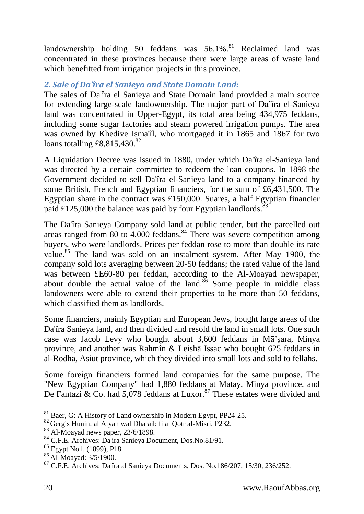landownership holding 50 feddans was  $56.1\%$ .<sup>81</sup> Reclaimed land was concentrated in these provinces because there were large areas of waste land which benefitted from irrigation projects in this province.

## <span id="page-19-0"></span>*2. Sale of Da'îra el Sanieya and State Domain Land:*

The sales of Da'îra el Sanieya and State Domain land provided a main source for extending large-scale landownership. The major part of Da'îra el-Sanieya land was concentrated in Upper-Egypt, its total area being 434,975 feddans, including some sugar factories and steam powered irrigation pumps. The area was owned by Khedive Isma'îl, who mortgaged it in 1865 and 1867 for two loans totalling  $\text{\textsterling}8,815,430$ .<sup>82</sup>

A Liquidation Decree was issued in 1880, under which Da'îra el-Sanieya land was directed by a certain committee to redeem the loan coupons. In 1898 the Government decided to sell Da'îra el-Sanieya land to a company financed by some British, French and Egyptian financiers, for the sum of £6,431,500. The Egyptian share in the contract was £150,000. Suares, a half Egyptian financier paid £125,000 the balance was paid by four Egyptian landlords.<sup>83</sup>

The Da'îra Sanieya Company sold land at public tender, but the parcelled out areas ranged from 80 to  $4,000$  feddans.<sup>84</sup> There was severe competition among buyers, who were landlords. Prices per feddan rose to more than double its rate value.<sup>85</sup> The land was sold on an instalment system. After May 1900, the company sold lots averaging between 20-50 feddans; the rated value of the land was between £E60-80 per feddan, according to the Al-Moayad newspaper, about double the actual value of the land.<sup>86</sup> Some people in middle class landowners were able to extend their properties to be more than 50 feddans, which classified them as landlords.

Some financiers, mainly Egyptian and European Jews, bought large areas of the Da'îra Sanieya land, and then divided and resold the land in small lots. One such case was Jacob Levy who bought about 3,600 feddans in Mā'ṣara, Minya province, and another was Rahmîn & Leishā Issac who bought 625 feddans in al-Rodha, Asiut province, which they divided into small lots and sold to fellahs.

Some foreign financiers formed land companies for the same purpose. The "New Egyptian Company" had 1,880 feddans at Matay, Minya province, and De Fantazi & Co. had  $5.078$  feddans at Luxor.<sup>87</sup> These estates were divided and

<sup>&</sup>lt;sup>81</sup> Baer, G: A History of Land ownership in Modern Egypt, PP24-25.

<sup>82</sup> Gergis Hunin: al Atyan wal Dharaib fi al Qotr al-Misri, P232.

 $83$  Al-Moayad news paper, 23/6/1898.

<sup>84</sup> C.F.E. Archives: Da'ira Sanieya Document, Dos.No.81/91.

<sup>85</sup> Egypt No.l, (1899), P18.

<sup>86</sup> AI-Moayad: 3/5/1900.

 $87$  C.F.E. Archives: Da'îra al Sanieya Documents, Dos. No.186/207, 15/30, 236/252.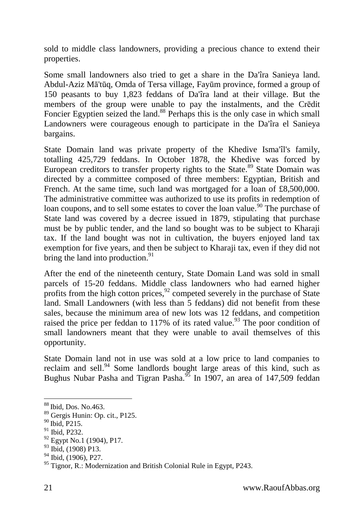sold to middle class landowners, providing a precious chance to extend their properties.

Some small landowners also tried to get a share in the Da'îra Sanieya land. Abdul-Aziz Mā'tūq, Omda of Tersa village, Fayūm province, formed a group of 150 peasants to buy 1,823 feddans of Da'îra land at their village. But the members of the group were unable to pay the instalments, and the Crēdit Foncier Egyptien seized the land.<sup>88</sup> Perhaps this is the only case in which small Landowners were courageous enough to participate in the Da'îra el Sanieya bargains.

State Domain land was private property of the Khedive Isma'îl's family, totalling 425,729 feddans. In October 1878, the Khedive was forced by European creditors to transfer property rights to the State.<sup>89</sup> State Domain was directed by a committee composed of three members: Egyptian, British and French. At the same time, such land was mortgaged for a loan of £8,500,000. The administrative committee was authorized to use its profits in redemption of loan coupons, and to sell some estates to cover the loan value.<sup>90</sup> The purchase of State land was covered by a decree issued in 1879, stipulating that purchase must be by public tender, and the land so bought was to be subject to Kharaji tax. If the land bought was not in cultivation, the buyers enjoyed land tax exemption for five years, and then be subject to Kharaji tax, even if they did not bring the land into production. $91$ 

After the end of the nineteenth century, State Domain Land was sold in small parcels of 15-20 feddans. Middle class landowners who had earned higher profits from the high cotton prices,  $\frac{92}{2}$  competed severely in the purchase of State land. Small Landowners (with less than 5 feddans) did not benefit from these sales, because the minimum area of new lots was 12 feddans, and competition raised the price per feddan to  $117\%$  of its rated value.<sup>93</sup> The poor condition of small landowners meant that they were unable to avail themselves of this opportunity.

State Domain land not in use was sold at a low price to land companies to reclaim and sell.<sup>94</sup> Some landlords bought large areas of this kind, such as Bughus Nubar Pasha and Tigran Pasha.<sup>95</sup> In 1907, an area of 147,509 feddan

<sup>88</sup> Ibid, Dos. No.463.

<sup>89</sup> Gergis Hunin: Op. cit., P125.

<sup>90</sup> Ibid, P215.

<sup>&</sup>lt;sup>91</sup> Ibid, P232.

 $92$  Egypt No.1 (1904), P17.

 $93$  Ibid, (1908) P13.

<sup>&</sup>lt;sup>94</sup> Ibid, (1906), P27.

 $95$  Tignor, R.: Modernization and British Colonial Rule in Egypt, P243.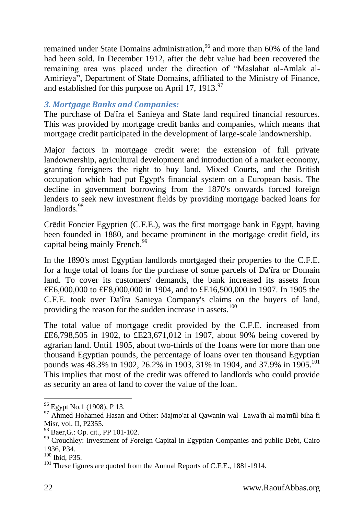remained under State Domains administration,<sup>96</sup> and more than 60% of the land had been sold. In December 1912, after the debt value had been recovered the remaining area was placed under the direction of "Maslahat al-Amlak al-Amirieya", Department of State Domains, affiliated to the Ministry of Finance, and established for this purpose on April 17, 1913. $\frac{97}{6}$ 

### <span id="page-21-0"></span>*3. Mortgage Banks and Companies:*

The purchase of Da'îra el Sanieya and State land required financial resources. This was provided by mortgage credit banks and companies, which means that mortgage credit participated in the development of large-scale landownership.

Major factors in mortgage credit were: the extension of full private landownership, agricultural development and introduction of a market economy, granting foreigners the right to buy land, Mixed Courts, and the British occupation which had put Egypt's financial system on a European basis. The decline in government borrowing from the 1870's onwards forced foreign lenders to seek new investment fields by providing mortgage backed loans for landlords.<sup>98</sup>

Crēdit Foncier Egyptien (C.F.E.), was the first mortgage bank in Egypt, having been founded in 1880, and became prominent in the mortgage credit field, its capital being mainly French.<sup>99</sup>

In the 1890's most Egyptian landlords mortgaged their properties to the C.F.E. for a huge total of loans for the purchase of some parcels of Da'îra or Domain land. To cover its customers' demands, the bank increased its assets from £E6,000,000 to £E8,000,000 in 1904, and to £E16,500,000 in 1907. In 1905 the C.F.E. took over Da'îra Sanieya Company's claims on the buyers of land, providing the reason for the sudden increase in assets.<sup>100</sup>

The total value of mortgage credit provided by the C.F.E. increased from £E6,798,505 in 1902, to £E23,671,012 in 1907, about 90% being covered by agrarian land. Unti1 1905, about two-thirds of the 1oans were for more than one thousand Egyptian pounds, the percentage of loans over ten thousand Egyptian pounds was 48.3% in 1902, 26.2% in 1903, 31% in 1904, and 37.9% in 1905.<sup>101</sup> This implies that most of the credit was offered to landlords who could provide as security an area of land to cover the value of the loan.

<sup>&</sup>lt;sup>96</sup> Egypt No.1 (1908), P 13.

<sup>97</sup> Ahmed Hohamed Hasan and Other: Majmo'at al Qawanin wal- Lawa'îh al ma'mūl biha fi Misr, vol. II, P2355.

<sup>98</sup> Baer,G.: Op. cit., PP 101-102.

<sup>&</sup>lt;sup>99</sup> Crouchley: Investment of Foreign Capital in Egyptian Companies and public Debt, Cairo 1936, P34.

<sup>100</sup> Ibid, P35.

<sup>&</sup>lt;sup>101</sup> These figures are quoted from the Annual Reports of C.F.E., 1881-1914.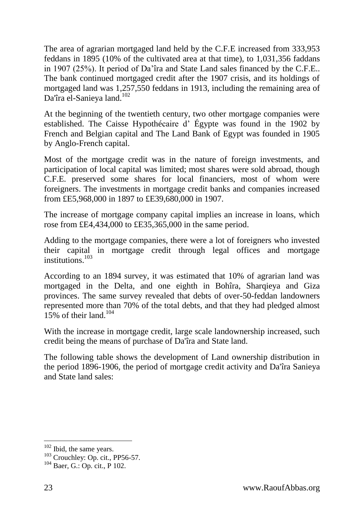The area of agrarian mortgaged land held by the C.F.E increased from 333,953 feddans in 1895 (10% of the cultivated area at that time), to 1,031,356 faddans in 1907 (25%). It period of Da'îra and State Land sales financed by the C.F.E.. The bank continued mortgaged credit after the 1907 crisis, and its holdings of mortgaged land was 1,257,550 feddans in 1913, including the remaining area of Da'îra el-Sanieya land.<sup>102</sup>

At the beginning of the twentieth century, two other mortgage companies were established. The Caisse Hypothécaire d' Égypte was found in the 1902 by French and Belgian capital and The Land Bank of Egypt was founded in 1905 by Anglo-French capital.

Most of the mortgage credit was in the nature of foreign investments, and participation of local capital was limited; most shares were sold abroad, though C.F.E. preserved some shares for local financiers, most of whom were foreigners. The investments in mortgage credit banks and companies increased from £E5,968,000 in 1897 to £E39,680,000 in 1907.

The increase of mortgage company capital implies an increase in loans, which rose from £E4,434,000 to £E35,365,000 in the same period.

Adding to the mortgage companies, there were a lot of foreigners who invested their capital in mortgage credit through legal offices and mortgage  $in$ stitutions.<sup>103</sup>

According to an 1894 survey, it was estimated that 10% of agrarian land was mortgaged in the Delta, and one eighth in Bohîra, Sharqieya and Giza provinces. The same survey revealed that debts of over-50-feddan landowners represented more than 70% of the total debts, and that they had pledged almost 15% of their land.<sup>104</sup>

With the increase in mortgage credit, large scale landownership increased, such credit being the means of purchase of Da'îra and State land.

The following table shows the development of Land ownership distribution in the period 1896-1906, the period of mortgage credit activity and Da'îra Sanieya and State land sales:

<sup>&</sup>lt;sup>102</sup> Ibid, the same years.

 $103$  Crouchley: Op. cit., PP56-57.

<sup>104</sup> Baer, G.: Op. cit., P 102.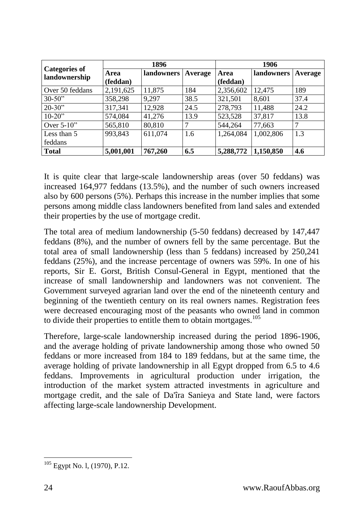|                                       | 1896      |            | 1906    |           |            |         |
|---------------------------------------|-----------|------------|---------|-----------|------------|---------|
| <b>Categories of</b><br>landownership | Area      | landowners | Average | Area      | landowners | Average |
|                                       | (feddan)  |            |         | (feddan)  |            |         |
| Over 50 feddans                       | 2,191,625 | 11,875     | 184     | 2,356,602 | 12,475     | 189     |
| $30 - 50$ "                           | 358,298   | 9,297      | 38.5    | 321,501   | 8,601      | 37.4    |
| $20 - 30$                             | 317,341   | 12,928     | 24.5    | 278,793   | 11,488     | 24.2    |
| $10-20$ "                             | 574,084   | 41,276     | 13.9    | 523,528   | 37,817     | 13.8    |
| Over $5-10$ "                         | 565,810   | 80,810     |         | 544,264   | 77,663     |         |
| Less than 5                           | 993,843   | 611,074    | 1.6     | 1,264,084 | 1,002,806  | 1.3     |
| feddans                               |           |            |         |           |            |         |
| Total                                 | 5,001,001 | 767,260    | 6.5     | 5,288,772 | 1,150,850  | 4.6     |

It is quite clear that large-scale landownership areas (over 50 feddans) was increased 164,977 feddans (13.5%), and the number of such owners increased also by 600 persons (5%). Perhaps this increase in the number implies that some persons among middle class landowners benefited from land sales and extended their properties by the use of mortgage credit.

The total area of medium landownership (5-50 feddans) decreased by 147,447 feddans (8%), and the number of owners fell by the same percentage. But the total area of small landownership (less than 5 feddans) increased by 250,241 feddans (25%), and the increase percentage of owners was 59%. In one of his reports, Sir E. Gorst, British Consul-General in Egypt, mentioned that the increase of small landownership and landowners was not convenient. The Government surveyed agrarian land over the end of the nineteenth century and beginning of the twentieth century on its real owners names. Registration fees were decreased encouraging most of the peasants who owned land in common to divide their properties to entitle them to obtain mortgages.<sup>105</sup>

Therefore, large-scale landownership increased during the period 1896-1906, and the average holding of private landownership among those who owned 50 feddans or more increased from 184 to 189 feddans, but at the same time, the average holding of private landownership in all Egypt dropped from 6.5 to 4.6 feddans. Improvements in agricultural production under irrigation, the introduction of the market system attracted investments in agriculture and mortgage credit, and the sale of Da'îra Sanieya and State land, were factors affecting large-scale landownership Development.

<sup>-</sup><sup>105</sup> Egypt No. l, (1970), P.12.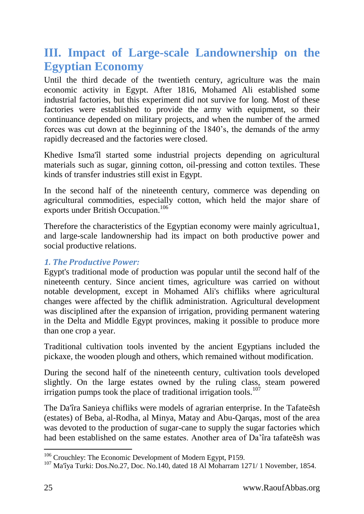## <span id="page-24-0"></span>**III. Impact of Large-scale Landownership on the Egyptian Economy**

Until the third decade of the twentieth century, agriculture was the main economic activity in Egypt. After 1816, Mohamed Ali established some industrial factories, but this experiment did not survive for long. Most of these factories were established to provide the army with equipment, so their continuance depended on military projects, and when the number of the armed forces was cut down at the beginning of the 1840's, the demands of the army rapidly decreased and the factories were closed.

Khedive Isma'îl started some industrial projects depending on agricultural materials such as sugar, ginning cotton, oil-pressing and cotton textiles. These kinds of transfer industries still exist in Egypt.

In the second half of the nineteenth century, commerce was depending on agricultural commodities, especially cotton, which held the major share of exports under British Occupation.<sup>106</sup>

Therefore the characteristics of the Egyptian economy were mainly agricultua1, and large-scale landownership had its impact on both productive power and social productive relations.

## <span id="page-24-1"></span>*1. The Productive Power:*

Egypt's traditional mode of production was popular until the second half of the nineteenth century. Since ancient times, agriculture was carried on without notable development, except in Mohamed Ali's chifliks where agricultural changes were affected by the chiflik administration. Agricultural development was disciplined after the expansion of irrigation, providing permanent watering in the Delta and Middle Egypt provinces, making it possible to produce more than one crop a year.

Traditional cultivation tools invented by the ancient Egyptians included the pickaxe, the wooden plough and others, which remained without modification.

During the second half of the nineteenth century, cultivation tools developed slightly. On the large estates owned by the ruling class, steam powered irrigation pumps took the place of traditional irrigation tools.<sup>107</sup>

The Da'îra Sanieya chifliks were models of agrarian enterprise. In the Tafateēsh (estates) of Beba, al-Rodha, al Minya, Matay and Abu-Qarqas, most of the area was devoted to the production of sugar-cane to supply the sugar factories which had been established on the same estates. Another area of Da'îra tafateēsh was

<sup>&</sup>lt;sup>106</sup> Crouchley: The Economic Development of Modern Egypt, P159.

 $107$  Ma'îya Turki: Dos.No.27, Doc. No.140, dated 18 Al Moharram 1271/1 November, 1854.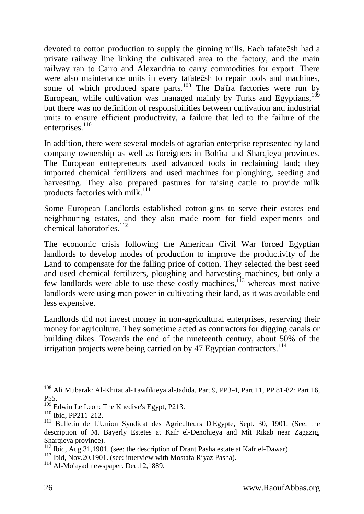devoted to cotton production to supply the ginning mills. Each tafateēsh had a private railway line linking the cultivated area to the factory, and the main railway ran to Cairo and Alexandria to carry commodities for export. There were also maintenance units in every tafateēsh to repair tools and machines, some of which produced spare parts.<sup>108</sup> The Da'îra factories were run by European, while cultivation was managed mainly by Turks and Egyptians,  $109$ but there was no definition of responsibilities between cultivation and industrial units to ensure efficient productivity, a failure that led to the failure of the enterprises.<sup>110</sup>

In addition, there were several models of agrarian enterprise represented by land company ownership as well as foreigners in Bohîra and Sharqieya provinces. The European entrepreneurs used advanced tools in reclaiming land; they imported chemical fertilizers and used machines for ploughing, seeding and harvesting. They also prepared pastures for raising cattle to provide milk products factories with milk. $111$ 

Some European Landlords established cotton-gins to serve their estates end neighbouring estates, and they also made room for field experiments and chemical laboratories.<sup>112</sup>

The economic crisis following the American Civil War forced Egyptian landlords to develop modes of production to improve the productivity of the Land to compensate for the falling price of cotton. They selected the best seed and used chemical fertilizers, ploughing and harvesting machines, but only a few landlords were able to use these costly machines,  $\frac{113}{13}$  whereas most native landlords were using man power in cultivating their land, as it was available end less expensive.

Landlords did not invest money in non-agricultural enterprises, reserving their money for agriculture. They sometime acted as contractors for digging canals or building dikes. Towards the end of the nineteenth century, about 50% of the irrigation projects were being carried on by 47 Egyptian contractors.<sup>114</sup>

<sup>&</sup>lt;sup>108</sup> Ali Mubarak: Al-Khitat al-Tawfikieya al-Jadida, Part 9, PP3-4, Part 11, PP 81-82: Part 16, P55.

<sup>&</sup>lt;sup>109</sup> Edwin Le Leon: The Khedive's Egypt, P213.

<sup>110</sup> Ibid, PP211-212.

<sup>&</sup>lt;sup>111</sup> Bulletin de L'Union Syndicat des Agriculteurs D'Egypte, Sept. 30, 1901. (See: the description of M. Bayerly Estetes at Kafr el-Denohieya and Mît Rikab near Zagazig, Sharqieya province).

 $112$  Ibid, Aug. 31, 1901. (see: the description of Drant Pasha estate at Kafr el-Dawar)

<sup>&</sup>lt;sup>113</sup> Ibid, Nov.20,1901. (see: interview with Mostafa Riyaz Pasha).

 $114$  Al-Mo'ayad newspaper. Dec.12,1889.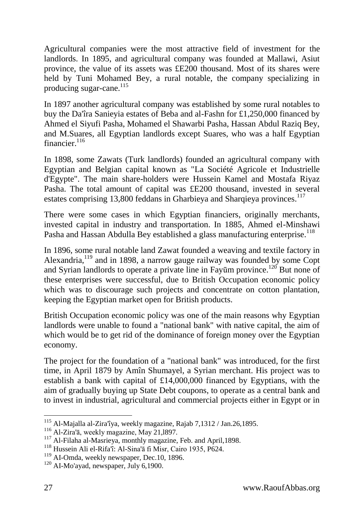Agricultural companies were the most attractive field of investment for the landlords. In 1895, and agricultural company was founded at Mallawi, Asiut province, the value of its assets was £E200 thousand. Most of its shares were held by Tuni Mohamed Bey, a rural notable, the company specializing in producing sugar-cane.<sup>115</sup>

In 1897 another agricultural company was established by some rural notables to buy the Da'îra Sanieyia estates of Beba and al-Fashn for £1,250,000 financed by Ahmed el Siyufi Pasha, Mohamed el Shawarbi Pasha, Hassan Abdul Raziq Bey, and M.Suares, all Egyptian landlords except Suares, who was a half Egyptian financier. $^{116}$ 

In 1898, some Zawats (Turk landlords) founded an agricultural company with Egyptian and Belgian capital known as "La Société Agricole et Industrielle d'Egypte". The main share-holders were Hussein Kamel and Mostafa Riyaz Pasha. The total amount of capital was £E200 thousand, invested in several estates comprising 13,800 feddans in Gharbieya and Sharqieya provinces.<sup>117</sup>

There were some cases in which Egyptian financiers, originally merchants, invested capital in industry and transportation. In 1885, Ahmed el-Minshawi Pasha and Hassan Abdulla Bey established a glass manufacturing enterprise.<sup>118</sup>

In 1896, some rural notable land Zawat founded a weaving and textile factory in Alexandria,<sup>119</sup> and in 1898, a narrow gauge railway was founded by some Copt and Syrian landlords to operate a private line in Fayūm province.<sup>120</sup> But none of these enterprises were successful, due to British Occupation economic policy which was to discourage such projects and concentrate on cotton plantation, keeping the Egyptian market open for British products.

British Occupation economic policy was one of the main reasons why Egyptian landlords were unable to found a "national bank" with native capital, the aim of which would be to get rid of the dominance of foreign money over the Egyptian economy.

The project for the foundation of a "national bank" was introduced, for the first time, in April 1879 by Amîn Shumayel, a Syrian merchant. His project was to establish a bank with capital of £14,000,000 financed by Egyptians, with the aim of gradually buying up State Debt coupons, to operate as a central bank and to invest in industrial, agricultural and commercial projects either in Egypt or in

<sup>115</sup> Al-Majalla al-Zira'îya, weekly magazine, Rajab 7,1312 / Jan.26,1895.

<sup>116</sup> Al-Zira'ā, weekly magazine, May 21,l897.

<sup>&</sup>lt;sup>117</sup> Al-Filaha al-Masrieya, monthly magazine, Feb. and April, 1898.

<sup>118</sup> Hussein Ali el-Rifa'î: Al-Sina'ā fi Misr, Cairo 1935, P624.

<sup>&</sup>lt;sup>119</sup> AI-Omda, weekly newspaper, Dec.10, 1896.

 $120$  AI-Mo'ayad, newspaper, July 6,1900.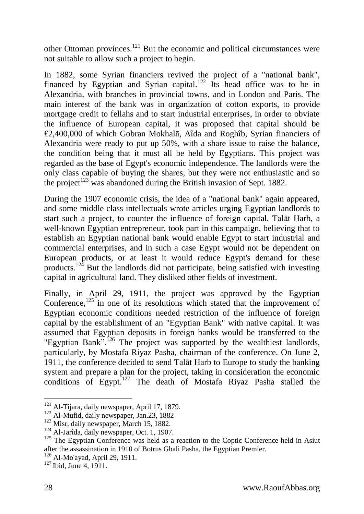other Ottoman provinces.<sup>121</sup> But the economic and political circumstances were not suitable to allow such a project to begin.

In 1882, some Syrian financiers revived the project of a "national bank", financed by Egyptian and Syrian capital.<sup>122</sup> Its head office was to be in Alexandria, with branches in provincial towns, and in London and Paris. The main interest of the bank was in organization of cotton exports, to provide mortgage credit to fellahs and to start industrial enterprises, in order to obviate the influence of European capital, it was proposed that capital should be £2,400,000 of which Gobran Mokhalā, Aîda and Roghîb, Syrian financiers of Alexandria were ready to put up 50%, with a share issue to raise the balance, the condition being that it must all be held by Egyptians. This project was regarded as the base of Egypt's economic independence. The landlords were the only class capable of buying the shares, but they were not enthusiastic and so the project<sup>123</sup> was abandoned during the British invasion of Sept. 1882.

During the 1907 economic crisis, the idea of a "national bank" again appeared, and some middle class intellectuals wrote articles urging Egyptian landlords to start such a project, to counter the influence of foreign capital. Talāt Harb, a well-known Egyptian entrepreneur, took part in this campaign, believing that to establish an Egyptian national bank would enable Egypt to start industrial and commercial enterprises, and in such a case Egypt would not be dependent on European products, or at least it would reduce Egypt's demand for these products.<sup>124</sup> But the landlords did not participate, being satisfied with investing capital in agricultural land. They disliked other fields of investment.

Finally, in April 29, 1911, the project was approved by the Egyptian Conference, $125$  in one of its resolutions which stated that the improvement of Egyptian economic conditions needed restriction of the influence of foreign capital by the establishment of an "Egyptian Bank" with native capital. It was assumed that Egyptian deposits in foreign banks would be transferred to the "Egyptian Bank".<sup>126</sup> The project was supported by the wealthiest landlords, particularly, by Mostafa Riyaz Pasha, chairman of the conference. On June 2, 1911, the conference decided to send Talāt Harb to Europe to study the banking system and prepare a plan for the project, taking in consideration the economic conditions of Egypt.<sup>127</sup> The death of Mostafa Riyaz Pasha stalled the

<sup>&</sup>lt;sup>121</sup> Al-Tijara, daily newspaper, April 17, 1879.

 $122$  Al-Mufid, daily newspaper, Jan.23, 1882

<sup>&</sup>lt;sup>123</sup> Misr, daily newspaper, March 15, 1882.

<sup>&</sup>lt;sup>124</sup> Al-Jarîda, daily newspaper, Oct. 1, 1907.

 $125$  The Egyptian Conference was held as a reaction to the Coptic Conference held in Asiut after the assassination in 1910 of Botrus Ghali Pasha, the Egyptian Premier.

<sup>126</sup> Al-Mo'ayad, April 29, 1911.

 $127$  Ibid, June 4, 1911.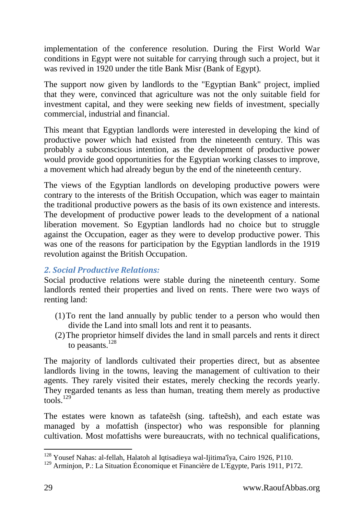implementation of the conference resolution. During the First World War conditions in Egypt were not suitable for carrying through such a project, but it was revived in 1920 under the title Bank Misr (Bank of Egypt).

The support now given by landlords to the "Egyptian Bank" project, implied that they were, convinced that agriculture was not the only suitable field for investment capital, and they were seeking new fields of investment, specially commercial, industrial and financial.

This meant that Egyptian landlords were interested in developing the kind of productive power which had existed from the nineteenth century. This was probably a subconscious intention, as the development of productive power would provide good opportunities for the Egyptian working classes to improve, a movement which had already begun by the end of the nineteenth century.

The views of the Egyptian landlords on developing productive powers were contrary to the interests of the British Occupation, which was eager to maintain the traditional productive powers as the basis of its own existence and interests. The development of productive power leads to the development of a national liberation movement. So Egyptian landlords had no choice but to struggle against the Occupation, eager as they were to develop productive power. This was one of the reasons for participation by the Egyptian landlords in the 1919 revolution against the British Occupation.

### <span id="page-28-0"></span>*2. Social Productive Relations:*

Social productive relations were stable during the nineteenth century. Some landlords rented their properties and lived on rents. There were two ways of renting land:

- (1)To rent the land annually by public tender to a person who would then divide the Land into small lots and rent it to peasants.
- (2)The proprietor himself divides the land in small parcels and rents it direct to peasants. $128$

The majority of landlords cultivated their properties direct, but as absentee landlords living in the towns, leaving the management of cultivation to their agents. They rarely visited their estates, merely checking the records yearly. They regarded tenants as less than human, treating them merely as productive  $t$ ools<sup> $129$ </sup>

The estates were known as tafateēsh (sing. tafteēsh), and each estate was managed by a mofattish (inspector) who was responsible for planning cultivation. Most mofattishs were bureaucrats, with no technical qualifications,

<sup>-</sup><sup>128</sup> Yousef Nahas: al-fellah, Halatoh al Iqtisadieya wal-Ijitima'îya, Cairo 1926, P110.

<sup>129</sup> Arminjon, P.: La Situation Économique et Financière de L'Egypte, Paris 1911, P172.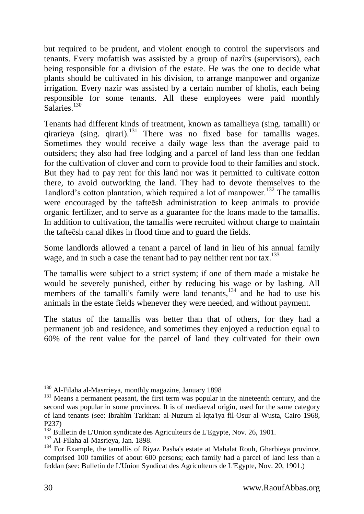but required to be prudent, and violent enough to control the supervisors and tenants. Every mofattish was assisted by a group of nazîrs (supervisors), each being responsible for a division of the estate. He was the one to decide what plants should be cultivated in his division, to arrange manpower and organize irrigation. Every nazir was assisted by a certain number of kholis, each being responsible for some tenants. All these employees were paid monthly Salaries<sup>130</sup>

Tenants had different kinds of treatment, known as tamallieya (sing. tamalli) or qirarieya (sing. qirari). $^{131}$  There was no fixed base for tamallis wages. Sometimes they would receive a daily wage less than the average paid to outsiders; they also had free lodging and a parcel of land less than one feddan for the cultivation of clover and corn to provide food to their families and stock. But they had to pay rent for this land nor was it permitted to cultivate cotton there, to avoid outworking the land. They had to devote themselves to the 1andlord's cotton plantation, which required a lot of manpower.<sup>132</sup> The tamallis were encouraged by the tafteēsh administration to keep animals to provide organic fertilizer, and to serve as a guarantee for the loans made to the tamallis. In addition to cultivation, the tamallis were recruited without charge to maintain the tafteēsh canal dikes in flood time and to guard the fields.

Some landlords allowed a tenant a parcel of land in lieu of his annual family wage, and in such a case the tenant had to pay neither rent nor tax.<sup>133</sup>

The tamallis were subject to a strict system; if one of them made a mistake he would be severely punished, either by reducing his wage or by lashing. All members of the tamalli's family were land tenants, $134$  and he had to use his animals in the estate fields whenever they were needed, and without payment.

The status of the tamallis was better than that of others, for they had a permanent job and residence, and sometimes they enjoyed a reduction equal to 60% of the rent value for the parcel of land they cultivated for their own

 $\overline{a}$ <sup>130</sup> Al-Filaha al-Masrrieya, monthly magazine, January 1898

<sup>&</sup>lt;sup>131</sup> Means a permanent peasant, the first term was popular in the nineteenth century, and the second was popular in some provinces. It is of mediaeval origin, used for the same category of land tenants (see: Ibrahîm Tarkhan: al-Nuzum al-lqta'iya fil-Osur al-Wusta, Cairo 1968, P237)

 $132$  Bulletin de L'Union syndicate des Agriculteurs de L'Egypte, Nov. 26, 1901.

<sup>133</sup> Al-Filaha al-Masrieya, Jan. 1898.

 $134$  For Example, the tamallis of Rivaz Pasha's estate at Mahalat Rouh, Gharbieva province, comprised 100 families of about 600 persons; each family had a parcel of land less than a feddan (see: Bulletin de L'Union Syndicat des Agriculteurs de L'Egypte, Nov. 20, 1901.)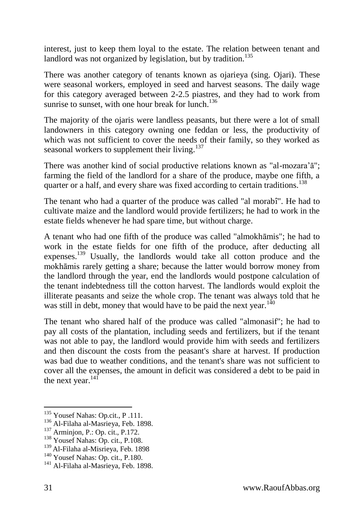interest, just to keep them loyal to the estate. The relation between tenant and landlord was not organized by legislation, but by tradition.<sup>135</sup>

There was another category of tenants known as ojarieya (sing. Ojari). These were seasonal workers, employed in seed and harvest seasons. The daily wage for this category averaged between 2-2.5 piastres, and they had to work from sunrise to sunset, with one hour break for lunch.<sup>136</sup>

The majority of the ojaris were landless peasants, but there were a lot of small landowners in this category owning one feddan or less, the productivity of which was not sufficient to cover the needs of their family, so they worked as seasonal workers to supplement their living.<sup>137</sup>

There was another kind of social productive relations known as "al-mozara'ā"; farming the field of the landlord for a share of the produce, maybe one fifth, a quarter or a half, and every share was fixed according to certain traditions.<sup>138</sup>

The tenant who had a quarter of the produce was called "al morabî". He had to cultivate maize and the landlord would provide fertilizers; he had to work in the estate fields whenever he had spare time, but without charge.

A tenant who had one fifth of the produce was called "almokhāmis"; he had to work in the estate fields for one fifth of the produce, after deducting all expenses.<sup>139</sup> Usually, the landlords would take all cotton produce and the mokhāmis rarely getting a share; because the latter would borrow money from the landlord through the year, end the landlords would postpone calculation of the tenant indebtedness till the cotton harvest. The landlords would exploit the illiterate peasants and seize the whole crop. The tenant was always told that he was still in debt, money that would have to be paid the next year.<sup>140</sup>

The tenant who shared half of the produce was called "almonasif"; he had to pay all costs of the plantation, including seeds and fertilizers, but if the tenant was not able to pay, the landlord would provide him with seeds and fertilizers and then discount the costs from the peasant's share at harvest. If production was bad due to weather conditions, and the tenant's share was not sufficient to cover all the expenses, the amount in deficit was considered a debt to be paid in the next year.<sup>141</sup>

<sup>&</sup>lt;sup>135</sup> Yousef Nahas: Op.cit., P.111.

<sup>136</sup> Al-Filaha al-Masrieya, Feb. 1898.

<sup>&</sup>lt;sup>137</sup> Arminjon, P.: Op. cit., P.172.

<sup>&</sup>lt;sup>138</sup> Yousef Nahas: Op. cit., P.108.

<sup>139</sup> Al-Filaha al-Misrieya, Feb. 1898

<sup>&</sup>lt;sup>140</sup> Yousef Nahas: Op. cit., P.180.

<sup>&</sup>lt;sup>141</sup> Al-Filaha al-Masrieva, Feb. 1898.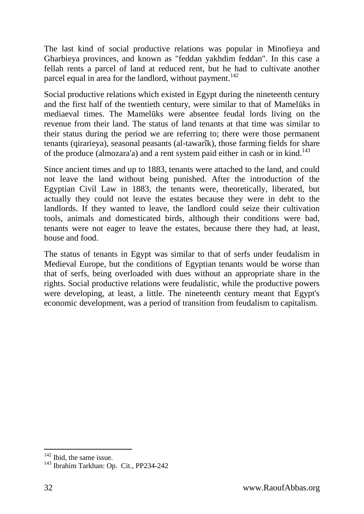The last kind of social productive relations was popular in Minofieya and Gharbieya provinces, and known as "feddan yakhdim feddan". In this case a fellah rents a parcel of land at reduced rent, but he had to cultivate another parcel equal in area for the landlord, without payment.<sup>142</sup>

Social productive relations which existed in Egypt during the nineteenth century and the first half of the twentieth century, were similar to that of Mamelūks in mediaeval times. The Mamelūks were absentee feudal lords living on the revenue from their land. The status of land tenants at that time was similar to their status during the period we are referring to; there were those permanent tenants (qirarieya), seasonal peasants (al-tawarîk), those farming fields for share of the produce (almozara'a) and a rent system paid either in cash or in kind.<sup>143</sup>

Since ancient times and up to 1883, tenants were attached to the land, and could not leave the land without being punished. After the introduction of the Egyptian Civil Law in 1883, the tenants were, theoretically, liberated, but actually they could not leave the estates because they were in debt to the landlords. If they wanted to leave, the landlord could seize their cultivation tools, animals and domesticated birds, although their conditions were bad, tenants were not eager to leave the estates, because there they had, at least, house and food.

The status of tenants in Egypt was similar to that of serfs under feudalism in Medieval Europe, but the conditions of Egyptian tenants would be worse than that of serfs, being overloaded with dues without an appropriate share in the rights. Social productive relations were feudalistic, while the productive powers were developing, at least, a little. The nineteenth century meant that Egypt's economic development, was a period of transition from feudalism to capitalism.

<sup>&</sup>lt;sup>142</sup> Ibid, the same issue.

<sup>143</sup> Ibrahim Tarkhan: Op. Cit., PP234-242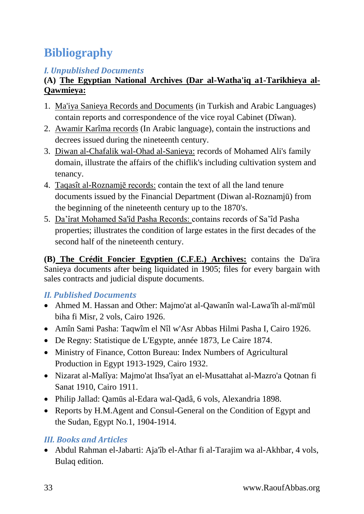# <span id="page-32-0"></span>**Bibliography**

## <span id="page-32-1"></span>*I. Unpublished Documents*

## **(A) The Egyptian National Archives (Dar al-Watha'iq a1-Tarikhieya al-Qawmieya:**

- 1. Ma'iya Sanieya Records and Documents (in Turkish and Arabic Languages) contain reports and correspondence of the vice royal Cabinet (Dîwan).
- 2. Awamir Karîma records (In Arabic language), contain the instructions and decrees issued during the nineteenth century.
- 3. Diwan al-Chafalik wal-Ohad al-Sanieya: records of Mohamed Ali's family domain, illustrate the affairs of the chiflik's including cultivation system and tenancy.
- 4. Taqasît al-Roznamjē records: contain the text of all the land tenure documents issued by the Financial Department (Diwan al-Roznamjū) from the beginning of the nineteenth century up to the 1870's.
- 5. Da'îrat Mohamed Sa'îd Pasha Records: contains records of Sa'îd Pasha properties; illustrates the condition of large estates in the first decades of the second half of the nineteenth century.

**(B) The Crédit Foncier Egyptien (C.F.E.) Archives:** contains the Da'ira Sanieya documents after being liquidated in 1905; files for every bargain with sales contracts and judicial dispute documents.

## <span id="page-32-2"></span>*II. Published Documents*

- Ahmed M. Hassan and Other: Majmo'at al-Qawanîn wal-Lawa'îh al-mā'mūl biha fi Misr, 2 vols, Cairo 1926.
- Amîn Sami Pasha: Taqwîm el Nîl w'Asr Abbas Hilmi Pasha I, Cairo 1926.
- De Regny: Statistique de L'Egypte, année 1873, Le Caire 1874.
- Ministry of Finance, Cotton Bureau: Index Numbers of Agricultural Production in Egypt 1913-1929, Cairo 1932.
- Nizarat al-Malîya: Majmo'at Ihsa'îyat an el-Musattahat al-Mazro'a Qotnan fi Sanat 1910, Cairo 1911.
- Philip Jallad: Qamūs al-Edara wal-Qadâ, 6 vols, Alexandria 1898.
- Reports by H.M.Agent and Consul-General on the Condition of Egypt and the Sudan, Egypt No.1, 1904-1914.

## <span id="page-32-3"></span>*III. Books and Articles*

 Abdul Rahman el-Jabarti: Aja'îb el-Athar fi al-Tarajim wa al-Akhbar, 4 vols, Bulaq edition.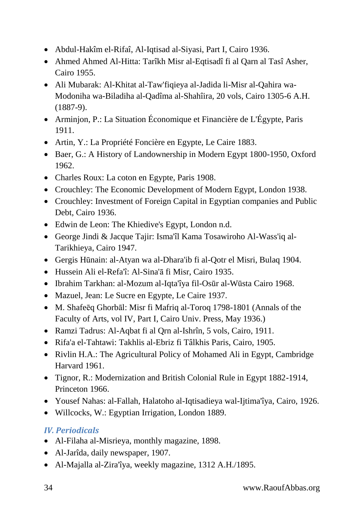- Abdul-Hakîm el-Rifaî, Al-Iqtisad al-Siyasi, Part I, Cairo 1936.
- Ahmed Ahmed Al-Hitta: Tarîkh Misr al-Eqtisadî fi al Qarn al Tasî Asher, Cairo 1955.
- Ali Mubarak: Al-Khitat al-Taw'fiqieya al-Jadida li-Misr al-Qahira wa-Modoniha wa-Biladiha al-Qadîma al-Shahîira, 20 vols, Cairo 1305-6 A.H. (1887-9).
- Arminjon, P.: La Situation Économique et Financière de L'Égypte, Paris 1911.
- Artin, Y.: La Propriété Foncière en Egypte, Le Caire 1883.
- Baer, G.: A History of Landownership in Modern Egypt 1800-1950, Oxford 1962.
- Charles Roux: La coton en Egypte, Paris 1908.
- Crouchley: The Economic Development of Modern Egypt, London 1938.
- Crouchley: Investment of Foreign Capital in Egyptian companies and Public Debt, Cairo 1936.
- Edwin de Leon: The Khiedive's Egypt, London n.d.
- George Jindi & Jacque Tajir: Isma'îl Kama Tosawiroho Al-Wass'iq al-Tarikhieya, Cairo 1947.
- Gergis Hūnain: al-Atyan wa al-Dhara'ib fi al-Qotr el Misri, Bulaq 1904.
- Hussein Ali el-Refa'î: Al-Sina'ā fi Misr, Cairo 1935.
- Ibrahim Tarkhan: al-Mozum al-Iqta'îya fil-Osūr al-Wūsta Cairo 1968.
- Mazuel, Jean: Le Sucre en Egypte, Le Caire 1937.
- M. Shafeeq Ghorbal: Misr fi Mafriq al-Toroq 1798-1801 (Annals of the Faculty of Arts, vol IV, Part I, Cairo Univ. Press, May 1936.)
- Ramzi Tadrus: Al-Aqbat fi al Qrn al-Ishrîn, 5 vols, Cairo, 1911.
- Rifa'a el-Tahtawi: Takhlis al-Ebriz fi Tâlkhis Paris, Cairo, 1905.
- Rivlin H.A.: The Agricultural Policy of Mohamed Ali in Egypt, Cambridge Harvard 1961.
- Tignor, R.: Modernization and British Colonial Rule in Egypt 1882-1914, Princeton 1966.
- Yousef Nahas: al-Fallah, Halatoho al-Iqtisadieya wal-Ijtima'îya, Cairo, 1926.
- Willcocks, W.: Egyptian Irrigation, London 1889.

## <span id="page-33-0"></span>*IV. Periodicals*

- Al-Filaha al-Misrieya, monthly magazine, 1898.
- Al-Jarîda, daily newspaper, 1907.
- Al-Majalla al-Zira'îya, weekly magazine, 1312 A.H./1895.